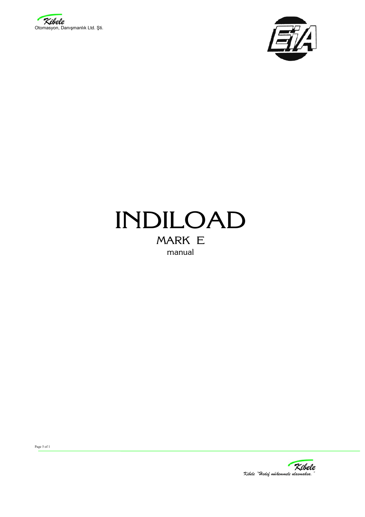



# INDILOAD MARK E manual

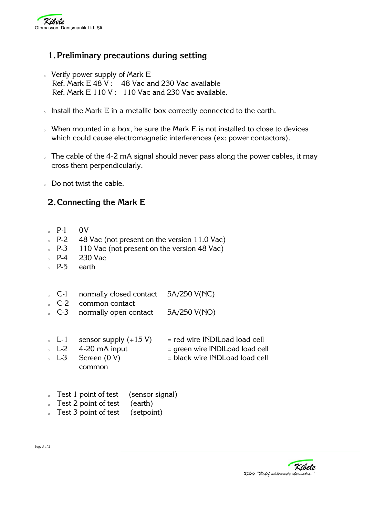

## **1.Preliminary precautions during setting**

- $\circ$  Verify power supply of Mark E Ref. Mark E 48 V : 48 Vac and 230 Vac available Ref. Mark E 110 V : 110 Vac and 230 Vac available.
- o Install the Mark E in a metallic box correctly connected to the earth.
- o When mounted in a box, be sure the Mark E is not installed to close to devices which could cause electromagnetic interferences (ex: power contactors).
- $\sigma$ . The cable of the 4-2 mA signal should never pass along the power cables, it may cross them perpendicularly.
- o Do not twist the cable.

## **2.Connecting the Mark E**

- P-l 0V
- $\epsilon$  P-2 48 Vac (not present on the version 11.0 Vac)
- P-3 110 Vac (not present on the version 48 Vac)
- <sup>o</sup> P-4 230 Vac
- $\epsilon$  P-5 earth
- C-l normally closed contact  $5A/250$  V(NC)
- $\degree$  C-2 common contact
- $\degree$  C-3 normally open contact  $5A/250$  V(NO)
- $\epsilon$  L-1 sensor supply  $(+15 \text{ V})$  = red wire INDILoad load cell
- $\epsilon$  L-2 4-20 mA input  $=$  green wire INDILoad load cell
- $\Box$  L-3 Screen (0 V)  $\Box$  = black wire INDLoad load cell common
- Test 1 point of test (sensor signal)
- $\sqrt{a}$  Test 2 point of test (earth)
- Test 3 point of test (setpoint)

Page 5 of 2

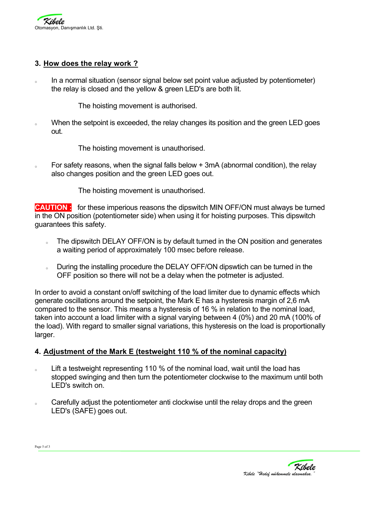

#### **3. How does the relay work ?**

In a normal situation (sensor signal below set point value adjusted by potentiometer) the relay is closed and the yellow & green LED's are both lit.

The hoisting movement is authorised.

o When the setpoint is exceeded, the relay changes its position and the green LED goes out.

The hoisting movement is unauthorised.

o For safety reasons, when the signal falls below + 3mA (abnormal condition), the relay also changes position and the green LED goes out.

The hoisting movement is unauthorised.

**CAUTION :** for these imperious reasons the dipswitch MIN OFF/ON must always be turned in the ON position (potentiometer side) when using it for hoisting purposes. This dipswitch guarantees this safety.

- o The dipswitch DELAY OFF/ON is by default turned in the ON position and generates a waiting period of approximately 100 msec before release.
- o During the installing procedure the DELAY OFF/ON dipswtich can be turned in the OFF position so there will not be a delay when the potmeter is adjusted.

In order to avoid a constant on/off switching of the load limiter due to dynamic effects which generate oscillations around the setpoint, the Mark E has a hysteresis margin of 2,6 mA compared to the sensor. This means a hysteresis of 16 % in relation to the nominal load, taken into account a load limiter with a signal varying between 4 (0%) and 20 mA (100% of the load). With regard to smaller signal variations, this hysteresis on the load is proportionally larger.

### **4. Adjustment of the Mark E (testweight 110 % of the nominal capacity)**

- o Lift a testweight representing 110 % of the nominal load, wait until the load has stopped swinging and then turn the potentiometer clockwise to the maximum until both LED's switch on.
- $\sim$  Carefully adjust the potentiometer anti clockwise until the relay drops and the green LED's (SAFE) goes out.

| ×<br>۰,<br>$\sim$ | ۰,<br>٠<br>۰, |
|-------------------|---------------|
|-------------------|---------------|



*Kibele "Hedef mükemmele ulasmaksa."*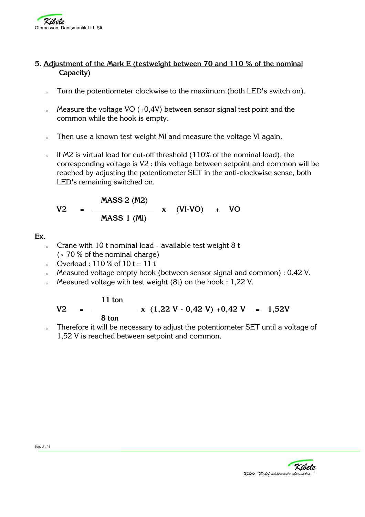

#### **5. Adjustment of the Mark E (testweight between 70 and 110 % of the nominal Capacity)**

- o Turn the potentiometer clockwise to the maximum (both LED's switch on).
- $\delta$  Measure the voltage VO (+0,4V) between sensor signal test point and the common while the hook is empty.
- o Then use a known test weight MI and measure the voltage VI again.
- $\epsilon$  If M2 is virtual load for cut-off threshold (110% of the nominal load), the corresponding voltage is V2 : this voltage between setpoint and common will be reached by adjusting the potentiometer SET in the anti-clockwise sense, both LED's remaining switched on.

$$
V2 = \frac{MASS 2 (M2)}{MASS 1 (M1)}
$$
 x (VI-VO) + VO

#### **Ex**.

- $\delta$  Crane with 10 t nominal load available test weight 8 t  $($  > 70 % of the nominal charge)
- Overload : 110 % of  $10 t = 11 t$
- o Measured voltage empty hook (between sensor signal and common) : 0.42 V.
- Measured voltage with test weight  $(8t)$  on the hook : 1,22 V.

#### **11 ton**   $V2 =$   $\frac{1}{2}$   $\times$  (1,22 V - 0,42 V) +0,42 V = 1,52V  **8 ton**

o Therefore it will be necessary to adjust the potentiometer SET until a voltage of 1,52 V is reached between setpoint and common.